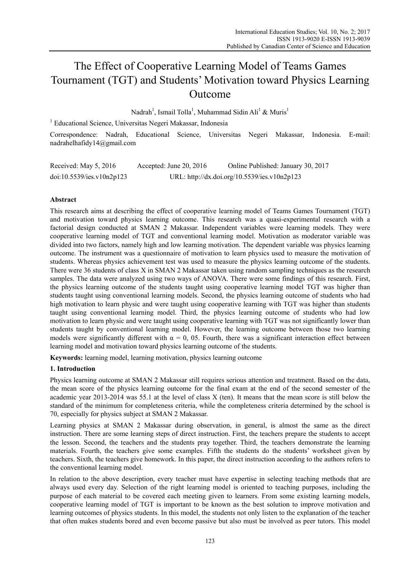# The Effect of Cooperative Learning Model of Teams Games Tournament (TGT) and Students' Motivation toward Physics Learning Outcome

Nadrah<sup>1</sup>, Ismail Tolla<sup>1</sup>, Muhammad Sidin Ali<sup>1</sup> & Muris<sup>1</sup>

<sup>1</sup> Educational Science, Universitas Negeri Makassar, Indonesia

Correspondence: Nadrah, Educational Science, Universitas Negeri Makassar, Indonesia. E-mail: nadrahelhafidy14@gmail.com

Received: May 5, 2016 Accepted: June 20, 2016 Online Published: January 30, 2017 doi:10.5539/ies.v10n2p123 URL: http://dx.doi.org/10.5539/ies.v10n2p123

# **Abstract**

This research aims at describing the effect of cooperative learning model of Teams Games Tournament (TGT) and motivation toward physics learning outcome. This research was a quasi-experimental research with a factorial design conducted at SMAN 2 Makassar. Independent variables were learning models. They were cooperative learning model of TGT and conventional learning model. Motivation as moderator variable was divided into two factors, namely high and low learning motivation. The dependent variable was physics learning outcome. The instrument was a questionnaire of motivation to learn physics used to measure the motivation of students. Whereas physics achievement test was used to measure the physics learning outcome of the students. There were 36 students of class X in SMAN 2 Makassar taken using random sampling techniques as the research samples. The data were analyzed using two ways of ANOVA. There were some findings of this research. First, the physics learning outcome of the students taught using cooperative learning model TGT was higher than students taught using conventional learning models. Second, the physics learning outcome of students who had high motivation to learn physic and were taught using cooperative learning with TGT was higher than students taught using conventional learning model. Third, the physics learning outcome of students who had low motivation to learn physic and were taught using cooperative learning with TGT was not significantly lower than students taught by conventional learning model. However, the learning outcome between those two learning models were significantly different with  $\alpha = 0$ , 05. Fourth, there was a significant interaction effect between learning model and motivation toward physics learning outcome of the students.

**Keywords:** learning model, learning motivation, physics learning outcome

# **1. Introduction**

Physics learning outcome at SMAN 2 Makassar still requires serious attention and treatment. Based on the data, the mean score of the physics learning outcome for the final exam at the end of the second semester of the academic year 2013-2014 was 55.1 at the level of class X (ten). It means that the mean score is still below the standard of the minimum for completeness criteria, while the completeness criteria determined by the school is 70, especially for physics subject at SMAN 2 Makassar.

Learning physics at SMAN 2 Makassar during observation, in general, is almost the same as the direct instruction. There are some learning steps of direct instruction. First, the teachers prepare the students to accept the lesson. Second, the teachers and the students pray together. Third, the teachers demonstrate the learning materials. Fourth, the teachers give some examples. Fifth the students do the students' worksheet given by teachers. Sixth, the teachers give homework. In this paper, the direct instruction according to the authors refers to the conventional learning model.

In relation to the above description, every teacher must have expertise in selecting teaching methods that are always used every day. Selection of the right learning model is oriented to teaching purposes, including the purpose of each material to be covered each meeting given to learners. From some existing learning models, cooperative learning model of TGT is important to be known as the best solution to improve motivation and learning outcomes of physics students. In this model, the students not only listen to the explanation of the teacher that often makes students bored and even become passive but also must be involved as peer tutors. This model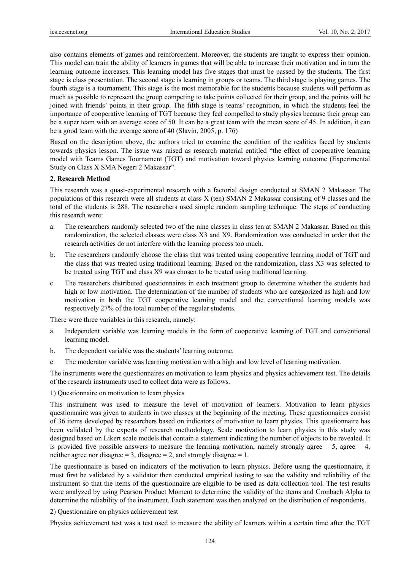also contains elements of games and reinforcement. Moreover, the students are taught to express their opinion. This model can train the ability of learners in games that will be able to increase their motivation and in turn the learning outcome increases. This learning model has five stages that must be passed by the students. The first stage is class presentation. The second stage is learning in groups or teams. The third stage is playing games. The fourth stage is a tournament. This stage is the most memorable for the students because students will perform as much as possible to represent the group competing to take points collected for their group, and the points will be joined with friends' points in their group. The fifth stage is teams' recognition, in which the students feel the importance of cooperative learning of TGT because they feel compelled to study physics because their group can be a super team with an average score of 50. It can be a great team with the mean score of 45. In addition, it can be a good team with the average score of 40 (Slavin, 2005, p. 176)

Based on the description above, the authors tried to examine the condition of the realities faced by students towards physics lesson. The issue was raised as research material entitled "the effect of cooperative learning model with Teams Games Tournament (TGT) and motivation toward physics learning outcome (Experimental Study on Class X SMA Negeri 2 Makassar".

#### **2. Research Method**

This research was a quasi-experimental research with a factorial design conducted at SMAN 2 Makassar. The populations of this research were all students at class X (ten) SMAN 2 Makassar consisting of 9 classes and the total of the students is 288. The researchers used simple random sampling technique. The steps of conducting this research were:

- a. The researchers randomly selected two of the nine classes in class ten at SMAN 2 Makassar. Based on this randomization, the selected classes were class X3 and X9. Randomization was conducted in order that the research activities do not interfere with the learning process too much.
- b. The researchers randomly choose the class that was treated using cooperative learning model of TGT and the class that was treated using traditional learning. Based on the randomization, class X3 was selected to be treated using TGT and class X9 was chosen to be treated using traditional learning.
- c. The researchers distributed questionnaires in each treatment group to determine whether the students had high or low motivation. The determination of the number of students who are categorized as high and low motivation in both the TGT cooperative learning model and the conventional learning models was respectively 27% of the total number of the regular students.

There were three variables in this research, namely:

- a. Independent variable was learning models in the form of cooperative learning of TGT and conventional learning model.
- b. The dependent variable was the students' learning outcome.
- c. The moderator variable was learning motivation with a high and low level of learning motivation.

The instruments were the questionnaires on motivation to learn physics and physics achievement test. The details of the research instruments used to collect data were as follows.

1) Questionnaire on motivation to learn physics

This instrument was used to measure the level of motivation of learners. Motivation to learn physics questionnaire was given to students in two classes at the beginning of the meeting. These questionnaires consist of 36 items developed by researchers based on indicators of motivation to learn physics. This questionnaire has been validated by the experts of research methodology. Scale motivation to learn physics in this study was designed based on Likert scale models that contain a statement indicating the number of objects to be revealed. It is provided five possible answers to measure the learning motivation, namely strongly agree  $= 5$ , agree  $= 4$ , neither agree nor disagree  $= 3$ , disagree  $= 2$ , and strongly disagree  $= 1$ .

The questionnaire is based on indicators of the motivation to learn physics. Before using the questionnaire, it must first be validated by a validator then conducted empirical testing to see the validity and reliability of the instrument so that the items of the questionnaire are eligible to be used as data collection tool. The test results were analyzed by using Pearson Product Moment to determine the validity of the items and Cronbach Alpha to determine the reliability of the instrument. Each statement was then analyzed on the distribution of respondents.

2) Questionnaire on physics achievement test

Physics achievement test was a test used to measure the ability of learners within a certain time after the TGT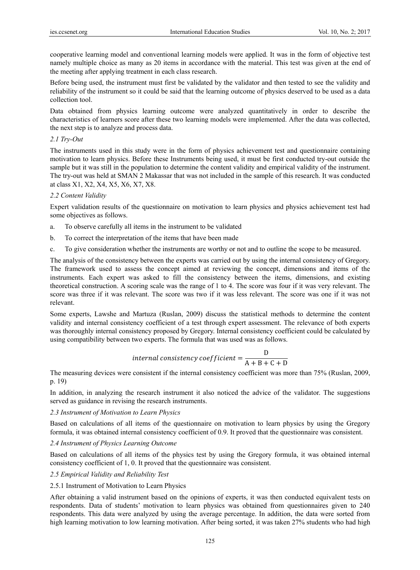cooperative learning model and conventional learning models were applied. It was in the form of objective test namely multiple choice as many as 20 items in accordance with the material. This test was given at the end of the meeting after applying treatment in each class research.

Before being used, the instrument must first be validated by the validator and then tested to see the validity and reliability of the instrument so it could be said that the learning outcome of physics deserved to be used as a data collection tool.

Data obtained from physics learning outcome were analyzed quantitatively in order to describe the characteristics of learners score after these two learning models were implemented. After the data was collected, the next step is to analyze and process data.

# *2.1 Try-Out*

The instruments used in this study were in the form of physics achievement test and questionnaire containing motivation to learn physics. Before these Instruments being used, it must be first conducted try-out outside the sample but it was still in the population to determine the content validity and empirical validity of the instrument. The try-out was held at SMAN 2 Makassar that was not included in the sample of this research. It was conducted at class X1, X2, X4, X5, X6, X7, X8.

# *2.2 Content Validity*

Expert validation results of the questionnaire on motivation to learn physics and physics achievement test had some objectives as follows.

- a. To observe carefully all items in the instrument to be validated
- b. To correct the interpretation of the items that have been made
- c. To give consideration whether the instruments are worthy or not and to outline the scope to be measured.

The analysis of the consistency between the experts was carried out by using the internal consistency of Gregory. The framework used to assess the concept aimed at reviewing the concept, dimensions and items of the instruments. Each expert was asked to fill the consistency between the items, dimensions, and existing theoretical construction. A scoring scale was the range of 1 to 4. The score was four if it was very relevant. The score was three if it was relevant. The score was two if it was less relevant. The score was one if it was not relevant.

Some experts, Lawshe and Martuza (Ruslan, 2009) discuss the statistical methods to determine the content validity and internal consistency coefficient of a test through expert assessment. The relevance of both experts was thoroughly internal consistency proposed by Gregory. Internal consistency coefficient could be calculated by using compatibility between two experts. The formula that was used was as follows.

internal consistency coefficient = 
$$
\frac{D}{A+B+C+D}
$$

The measuring devices were consistent if the internal consistency coefficient was more than 75% (Ruslan, 2009, p. 19)

In addition, in analyzing the research instrument it also noticed the advice of the validator. The suggestions served as guidance in revising the research instruments.

## *2.3 Instrument of Motivation to Learn Physics*

Based on calculations of all items of the questionnaire on motivation to learn physics by using the Gregory formula, it was obtained internal consistency coefficient of 0.9. It proved that the questionnaire was consistent.

# *2.4 Instrument of Physics Learning Outcome*

Based on calculations of all items of the physics test by using the Gregory formula, it was obtained internal consistency coefficient of 1, 0. It proved that the questionnaire was consistent.

## *2.5 Empirical Validity and Reliability Test*

# 2.5.1 Instrument of Motivation to Learn Physics

After obtaining a valid instrument based on the opinions of experts, it was then conducted equivalent tests on respondents. Data of students' motivation to learn physics was obtained from questionnaires given to 240 respondents. This data were analyzed by using the average percentage. In addition, the data were sorted from high learning motivation to low learning motivation. After being sorted, it was taken 27% students who had high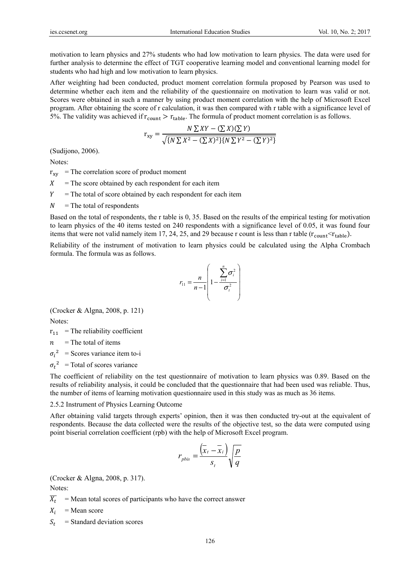motivation to learn physics and 27% students who had low motivation to learn physics. The data were used for further analysis to determine the effect of TGT cooperative learning model and conventional learning model for students who had high and low motivation to learn physics.

After weighting had been conducted, product moment correlation formula proposed by Pearson was used to determine whether each item and the reliability of the questionnaire on motivation to learn was valid or not. Scores were obtained in such a manner by using product moment correlation with the help of Microsoft Excel program. After obtaining the score of r calculation, it was then compared with r table with a significance level of 5%. The validity was achieved if  $r_{\text{count}} > r_{\text{table}}$ . The formula of product moment correlation is as follows.

$$
r_{xy} = \frac{N \sum XY - (\sum X)(\sum Y)}{\sqrt{\{N \sum X^2 - (\sum X)^2\} \{N \sum Y^2 - (\sum Y)^2\}}}
$$

(Sudijono, 2006).

Notes:

 $r_{xy}$  = The correlation score of product moment

- $X$  = The score obtained by each respondent for each item
- $Y =$ The total of score obtained by each respondent for each item
- $N$  = The total of respondents

Based on the total of respondents, the r table is 0, 35. Based on the results of the empirical testing for motivation to learn physics of the 40 items tested on 240 respondents with a significance level of 0.05, it was found four items that were not valid namely item 17, 24, 25, and 29 because r count is less than r table ( $r_{\text{count}} < r_{\text{table}}$ ).

Reliability of the instrument of motivation to learn physics could be calculated using the Alpha Crombach formula. The formula was as follows.

$$
r_{11} = \frac{n}{n-1} \left( 1 - \frac{\sum_{i=1}^{n} \sigma_i^2}{\sigma_i^2} \right)
$$

(Crocker & Algna, 2008, p. 121) Notes:

 $r_{11}$  = The reliability coefficient

 $n =$ The total of items

 $\sigma_i^2$  = Scores variance item to-i

 $\sigma_t^2$  = Total of scores variance

The coefficient of reliability on the test questionnaire of motivation to learn physics was 0.89. Based on the results of reliability analysis, it could be concluded that the questionnaire that had been used was reliable. Thus, the number of items of learning motivation questionnaire used in this study was as much as 36 items.

2.5.2 Instrument of Physics Learning Outcome

After obtaining valid targets through experts' opinion, then it was then conducted try-out at the equivalent of respondents. Because the data collected were the results of the objective test, so the data were computed using point biserial correlation coefficient (rpb) with the help of Microsoft Excel program.

$$
r_{\text{pbis}} = \frac{(\overline{x}_t - \overline{x}_i)}{s_t} \sqrt{\frac{p}{q}}
$$

(Crocker & Algna, 2008, p. 317). Notes:

 $\overline{X_t}$  = Mean total scores of participants who have the correct answer

 $X_i$  = Mean score

 $S_t$  = Standard deviation scores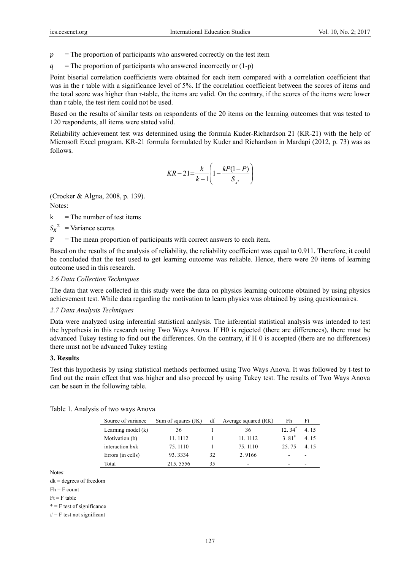$p =$ The proportion of participants who answered correctly on the test item

 $q =$ The proportion of participants who answered incorrectly or  $(1-p)$ 

Point biserial correlation coefficients were obtained for each item compared with a correlation coefficient that was in the r table with a significance level of 5%. If the correlation coefficient between the scores of items and the total score was higher than r-table, the items are valid. On the contrary, if the scores of the items were lower than r table, the test item could not be used.

Based on the results of similar tests on respondents of the 20 items on the learning outcomes that was tested to 120 respondents, all items were stated valid.

Reliability achievement test was determined using the formula Kuder-Richardson 21 (KR-21) with the help of Microsoft Excel program. KR-21 formula formulated by Kuder and Richardson in Mardapi (2012, p. 73) was as follows.

$$
KR - 21 = \frac{k}{k - 1} \left( 1 - \frac{kP(1 - P)}{S_{x^2}} \right)
$$

(Crocker & Algna, 2008, p. 139).

Notes:

 $k =$ The number of test items

$$
S_X^2 = \text{Variance scores}
$$

 $P =$ The mean proportion of participants with correct answers to each item.

Based on the results of the analysis of reliability, the reliability coefficient was equal to 0.911. Therefore, it could be concluded that the test used to get learning outcome was reliable. Hence, there were 20 items of learning outcome used in this research.

#### *2.6 Data Collection Techniques*

The data that were collected in this study were the data on physics learning outcome obtained by using physics achievement test. While data regarding the motivation to learn physics was obtained by using questionnaires.

#### *2.7 Data Analysis Techniques*

Data were analyzed using inferential statistical analysis. The inferential statistical analysis was intended to test the hypothesis in this research using Two Ways Anova. If H0 is rejected (there are differences), there must be advanced Tukey testing to find out the differences. On the contrary, if H 0 is accepted (there are no differences) there must not be advanced Tukey testing

#### **3. Results**

Test this hypothesis by using statistical methods performed using Two Ways Anova. It was followed by t-test to find out the main effect that was higher and also proceed by using Tukey test. The results of Two Ways Anova can be seen in the following table.

| Source of variance | Sum of squares (JK) | df | Average squared (RK) | Fh          | Ft   |
|--------------------|---------------------|----|----------------------|-------------|------|
| Learning model (k) | 36                  |    | 36                   | $12.34^*$   | 4 15 |
| Motivation (b)     | 11.1112             |    | 11 1112              | 3 $81^{\#}$ | 4 15 |
| interaction bxk    | 75.1110             |    | 75.1110              | 25 75       | 4 15 |
| Errors (in cells)  | 93.3334             | 32 | 2.9166               |             | -    |
| Total              | 215, 5556           | 35 | -                    |             | -    |

Table 1. Analysis of two ways Anova

Notes:

dk = degrees of freedom

 $Fh = F$  count

 $* = F$  test of significance

 $# = F$  test not significant

 $Ft = F$  table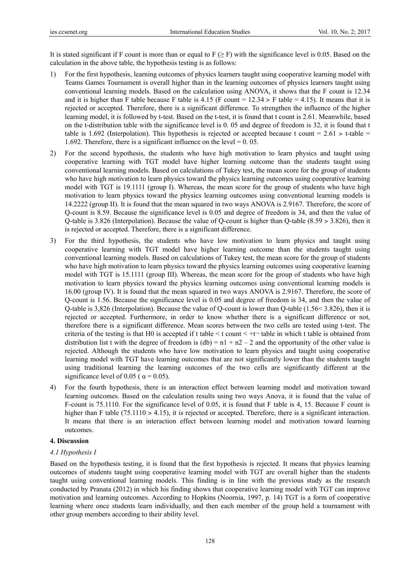It is stated significant if F count is more than or equal to F  $(\geq$  F) with the significance level is 0.05. Based on the calculation in the above table, the hypothesis testing is as follows:

- 1) For the first hypothesis, learning outcomes of physics learners taught using cooperative learning model with Teams Games Tournament is overall higher than in the learning outcomes of physics learners taught using conventional learning models. Based on the calculation using ANOVA, it shows that the F count is 12.34 and it is higher than F table because F table is 4.15 (F count =  $12.34 >$  F table = 4.15). It means that it is rejected or accepted. Therefore, there is a significant difference. To strengthen the influence of the higher learning model, it is followed by t-test. Based on the t-test, it is found that t count is 2.61. Meanwhile, based on the t-distribution table with the significance level is 0. 05 and degree of freedom is 32, it is found that t table is 1.692 (Interpolation). This hypothesis is rejected or accepted because t count =  $2.61 > t$ -table = 1.692. Therefore, there is a significant influence on the level  $= 0.05$ .
- 2) For the second hypothesis, the students who have high motivation to learn physics and taught using cooperative learning with TGT model have higher learning outcome than the students taught using conventional learning models. Based on calculations of Tukey test, the mean score for the group of students who have high motivation to learn physics toward the physics learning outcomes using cooperative learning model with TGT is 19.1111 (group I). Whereas, the mean score for the group of students who have high motivation to learn physics toward the physics learning outcomes using conventional learning models is 14.2222 (group II). It is found that the mean squared in two ways ANOVA is 2.9167. Therefore, the score of Q-count is 8.59. Because the significance level is 0.05 and degree of freedom is 34, and then the value of Q-table is 3.826 (Interpolation). Because the value of Q-count is higher than Q-table (8.59 ˃ 3.826), then it is rejected or accepted. Therefore, there is a significant difference.
- 3) For the third hypothesis, the students who have low motivation to learn physics and taught using cooperative learning with TGT model have higher learning outcome than the students taught using conventional learning models. Based on calculations of Tukey test, the mean score for the group of students who have high motivation to learn physics toward the physics learning outcomes using cooperative learning model with TGT is 15.1111 (group III). Whereas, the mean score for the group of students who have high motivation to learn physics toward the physics learning outcomes using conventional learning models is 16.00 (group IV). It is found that the mean squared in two ways ANOVA is 2.9167. Therefore, the score of Q-count is 1.56. Because the significance level is 0.05 and degree of freedom is 34, and then the value of Q-table is 3,826 (Interpolation). Because the value of Q-count is lower than Q-table (1.56< 3.826), then it is rejected or accepted. Furthermore, in order to know whether there is a significant difference or not, therefore there is a significant difference. Mean scores between the two cells are tested using t-test. The criteria of the testing is that H0 is accepted if t table  $\lt$  t count  $\lt$  +t $\neg$  table in which t table is obtained from distribution list t with the degree of freedom is  $(db) = n1 + n2 - 2$  and the opportunity of the other value is rejected. Although the students who have low motivation to learn physics and taught using cooperative learning model with TGT have learning outcomes that are not significantly lower than the students taught using traditional learning the learning outcomes of the two cells are significantly different at the significance level of 0.05 ( $\alpha$  = 0.05).
- 4) For the fourth hypothesis, there is an interaction effect between learning model and motivation toward learning outcomes. Based on the calculation results using two ways Anova, it is found that the value of F-count is 75.1110. For the significance level of 0.05, it is found that F table is 4, 15. Because F count is higher than F table (75.1110  $> 4.15$ ), it is rejected or accepted. Therefore, there is a significant interaction. It means that there is an interaction effect between learning model and motivation toward learning outcomes.

## **4. Discussion**

## *4.1 Hypothesis I*

Based on the hypothesis testing, it is found that the first hypothesis is rejected. It means that physics learning outcomes of students taught using cooperative learning model with TGT are overall higher than the students taught using conventional learning models. This finding is in line with the previous study as the research conducted by Pranata (2012) in which his finding shows that cooperative learning model with TGT can improve motivation and learning outcomes. According to Hopkins (Noornia, 1997, p. 14) TGT is a form of cooperative learning where once students learn individually, and then each member of the group held a tournament with other group members according to their ability level.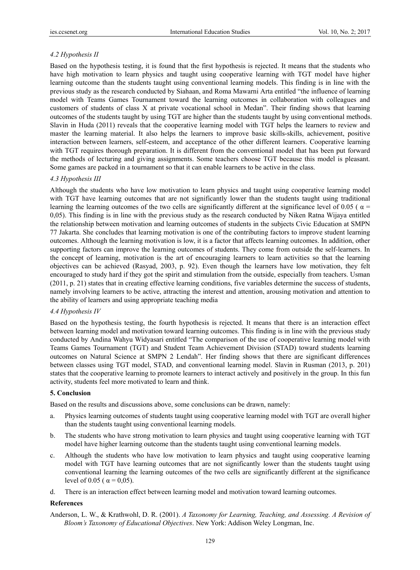# *4.2 Hypothesis II*

Based on the hypothesis testing, it is found that the first hypothesis is rejected. It means that the students who have high motivation to learn physics and taught using cooperative learning with TGT model have higher learning outcome than the students taught using conventional learning models. This finding is in line with the previous study as the research conducted by Siahaan, and Roma Mawarni Arta entitled "the influence of learning model with Teams Games Tournament toward the learning outcomes in collaboration with colleagues and customers of students of class X at private vocational school in Medan". Their finding shows that learning outcomes of the students taught by using TGT are higher than the students taught by using conventional methods. Slavin in Huda (2011) reveals that the cooperative learning model with TGT helps the learners to review and master the learning material. It also helps the learners to improve basic skills-skills, achievement, positive interaction between learners, self-esteem, and acceptance of the other different learners. Cooperative learning with TGT requires thorough preparation. It is different from the conventional model that has been put forward the methods of lecturing and giving assignments. Some teachers choose TGT because this model is pleasant. Some games are packed in a tournament so that it can enable learners to be active in the class.

# *4.3 Hypothesis III*

Although the students who have low motivation to learn physics and taught using cooperative learning model with TGT have learning outcomes that are not significantly lower than the students taught using traditional learning the learning outcomes of the two cells are significantly different at the significance level of 0.05 ( $\alpha$  = 0,05). This finding is in line with the previous study as the research conducted by Niken Ratna Wijaya entitled the relationship between motivation and learning outcomes of students in the subjects Civic Education at SMPN 77 Jakarta. She concludes that learning motivation is one of the contributing factors to improve student learning outcomes. Although the learning motivation is low, it is a factor that affects learning outcomes. In addition, other supporting factors can improve the learning outcomes of students. They come from outside the self-learners. In the concept of learning, motivation is the art of encouraging learners to learn activities so that the learning objectives can be achieved (Rasyad, 2003, p. 92). Even though the learners have low motivation, they felt encouraged to study hard if they got the spirit and stimulation from the outside, especially from teachers. Usman (2011, p. 21) states that in creating effective learning conditions, five variables determine the success of students, namely involving learners to be active, attracting the interest and attention, arousing motivation and attention to the ability of learners and using appropriate teaching media

## *4.4 Hypothesis IV*

Based on the hypothesis testing, the fourth hypothesis is rejected. It means that there is an interaction effect between learning model and motivation toward learning outcomes. This finding is in line with the previous study conducted by Andina Wahyu Widyasari entitled "The comparison of the use of cooperative learning model with Teams Games Tournament (TGT) and Student Team Achievement Division (STAD) toward students learning outcomes on Natural Science at SMPN 2 Lendah". Her finding shows that there are significant differences between classes using TGT model, STAD, and conventional learning model. Slavin in Rusman (2013, p. 201) states that the cooperative learning to promote learners to interact actively and positively in the group. In this fun activity, students feel more motivated to learn and think.

## **5. Conclusion**

Based on the results and discussions above, some conclusions can be drawn, namely:

- a. Physics learning outcomes of students taught using cooperative learning model with TGT are overall higher than the students taught using conventional learning models.
- b. The students who have strong motivation to learn physics and taught using cooperative learning with TGT model have higher learning outcome than the students taught using conventional learning models.
- c. Although the students who have low motivation to learn physics and taught using cooperative learning model with TGT have learning outcomes that are not significantly lower than the students taught using conventional learning the learning outcomes of the two cells are significantly different at the significance level of 0.05 ( $\alpha$  = 0.05).
- d. There is an interaction effect between learning model and motivation toward learning outcomes.

## **References**

Anderson, L. W., & Krathwohl, D. R. (2001). *A Taxonomy for Learning, Teaching, and Assessing. A Revision of Bloom's Taxonomy of Educational Objectives*. New York: Addison Weley Longman, Inc.